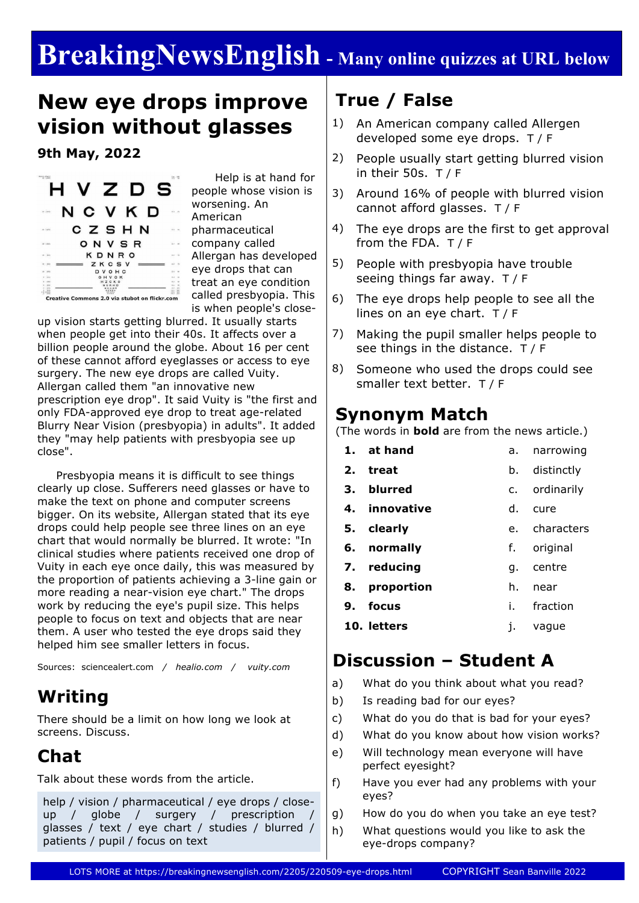# **BreakingNewsEnglish - Many online quizzes at URL below**

### **New eye drops improve vision without glasses**

**9th May, 2022**



 Help is at hand for people whose vision is worsening. An American pharmaceutical company called Allergan has developed eye drops that can treat an eye condition called presbyopia. This is when people's close-

up vision starts getting blurred. It usually starts when people get into their 40s. It affects over a billion people around the globe. About 16 per cent of these cannot afford eyeglasses or access to eye surgery. The new eye drops are called Vuity. Allergan called them "an innovative new prescription eye drop". It said Vuity is "the first and only FDA-approved eye drop to treat age-related Blurry Near Vision (presbyopia) in adults". It added they "may help patients with presbyopia see up close".

 Presbyopia means it is difficult to see things clearly up close. Sufferers need glasses or have to make the text on phone and computer screens bigger. On its website, Allergan stated that its eye drops could help people see three lines on an eye chart that would normally be blurred. It wrote: "In clinical studies where patients received one drop of Vuity in each eye once daily, this was measured by the proportion of patients achieving a 3-line gain or more reading a near-vision eye chart." The drops work by reducing the eye's pupil size. This helps people to focus on text and objects that are near them. A user who tested the eye drops said they helped him see smaller letters in focus.

Sources: sciencealert.com */ healio.com / vuity.com*

#### **Writing**

There should be a limit on how long we look at screens. Discuss.

### **Chat**

Talk about these words from the article.

```
help / vision / pharmaceutical / eye drops / close-
up / globe / surgery / prescription
glasses / text / eye chart / studies / blurred / 
patients / pupil / focus on text
```
### **True / False**

- 1) An American company called Allergen developed some eye drops. T / F
- 2) People usually start getting blurred vision in their 50s. T / F
- 3) Around 16% of people with blurred vision cannot afford glasses. T / F
- 4) The eye drops are the first to get approval from the FDA. T / F
- 5) People with presbyopia have trouble seeing things far away. T / F
- 6) The eye drops help people to see all the lines on an eye chart. T / F
- 7) Making the pupil smaller helps people to see things in the distance. T / F
- 8) Someone who used the drops could see smaller text better. T / F

#### **Synonym Match**

(The words in **bold** are from the news article.)

|    | 1. at hand    | а.   | narrowing     |
|----|---------------|------|---------------|
|    | 2. treat      | b.   | distinctly    |
|    | 3. blurred    |      | c. ordinarily |
|    | 4. innovative | d.   | cure          |
|    | 5. clearly    |      | e. characters |
|    | 6. normally   |      | f. original   |
|    | 7. reducing   | q.   | centre        |
| 8. | proportion    | h.   | near          |
|    | 9. focus      | i. I | fraction      |
|    | 10. letters   | 1.   | vague         |
|    |               |      |               |

#### **Discussion – Student A**

- a) What do you think about what you read?
- b) Is reading bad for our eyes?
- c) What do you do that is bad for your eyes?
- d) What do you know about how vision works?
- e) Will technology mean everyone will have perfect eyesight?
- f) Have you ever had any problems with your eyes?
- g) How do you do when you take an eye test?
- h) What questions would you like to ask the eye-drops company?